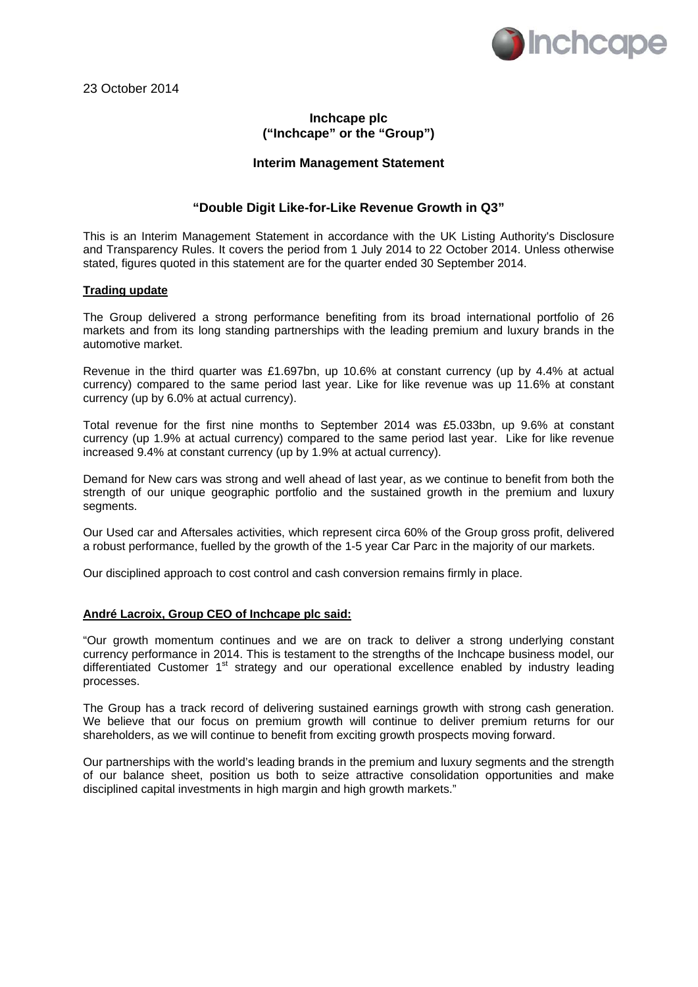

# **Inchcape plc ("Inchcape" or the "Group")**

### **Interim Management Statement**

### **"Double Digit Like-for-Like Revenue Growth in Q3"**

This is an Interim Management Statement in accordance with the UK Listing Authority's Disclosure and Transparency Rules. It covers the period from 1 July 2014 to 22 October 2014. Unless otherwise stated, figures quoted in this statement are for the quarter ended 30 September 2014.

#### **Trading update**

The Group delivered a strong performance benefiting from its broad international portfolio of 26 markets and from its long standing partnerships with the leading premium and luxury brands in the automotive market.

Revenue in the third quarter was £1.697bn, up 10.6% at constant currency (up by 4.4% at actual currency) compared to the same period last year. Like for like revenue was up 11.6% at constant currency (up by 6.0% at actual currency).

Total revenue for the first nine months to September 2014 was £5.033bn, up 9.6% at constant currency (up 1.9% at actual currency) compared to the same period last year. Like for like revenue increased 9.4% at constant currency (up by 1.9% at actual currency).

Demand for New cars was strong and well ahead of last year, as we continue to benefit from both the strength of our unique geographic portfolio and the sustained growth in the premium and luxury segments.

Our Used car and Aftersales activities, which represent circa 60% of the Group gross profit, delivered a robust performance, fuelled by the growth of the 1-5 year Car Parc in the majority of our markets.

Our disciplined approach to cost control and cash conversion remains firmly in place.

# **André Lacroix, Group CEO of Inchcape plc said:**

"Our growth momentum continues and we are on track to deliver a strong underlying constant currency performance in 2014. This is testament to the strengths of the Inchcape business model, our differentiated Customer 1<sup>st</sup> strategy and our operational excellence enabled by industry leading processes.

The Group has a track record of delivering sustained earnings growth with strong cash generation. We believe that our focus on premium growth will continue to deliver premium returns for our shareholders, as we will continue to benefit from exciting growth prospects moving forward.

Our partnerships with the world's leading brands in the premium and luxury segments and the strength of our balance sheet, position us both to seize attractive consolidation opportunities and make disciplined capital investments in high margin and high growth markets."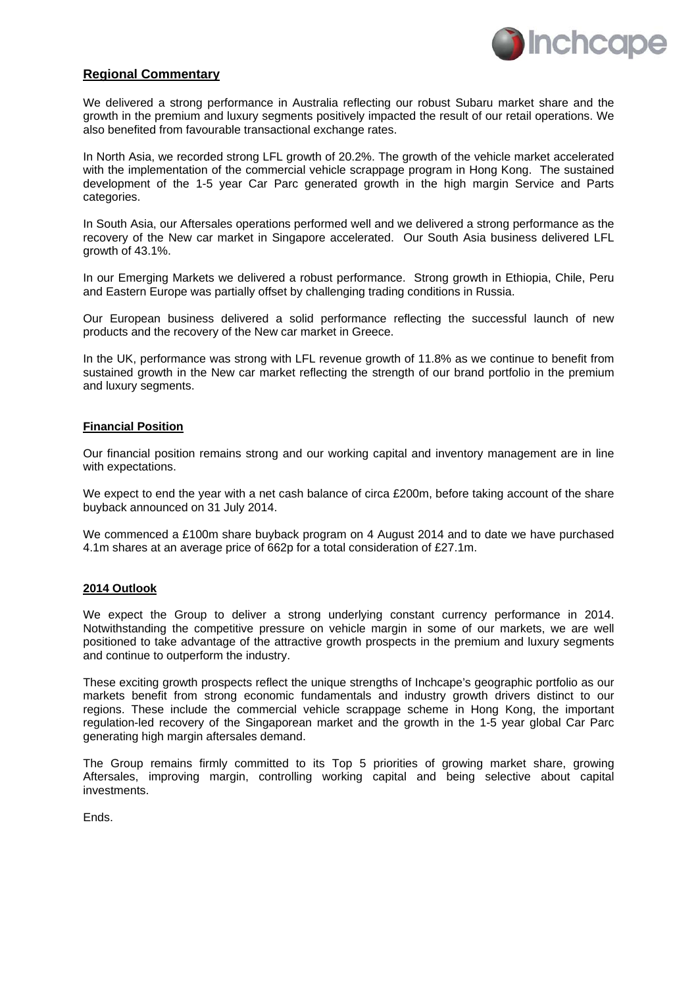

### **Regional Commentary**

We delivered a strong performance in Australia reflecting our robust Subaru market share and the growth in the premium and luxury segments positively impacted the result of our retail operations. We also benefited from favourable transactional exchange rates.

In North Asia, we recorded strong LFL growth of 20.2%. The growth of the vehicle market accelerated with the implementation of the commercial vehicle scrappage program in Hong Kong. The sustained development of the 1-5 year Car Parc generated growth in the high margin Service and Parts categories.

In South Asia, our Aftersales operations performed well and we delivered a strong performance as the recovery of the New car market in Singapore accelerated. Our South Asia business delivered LFL growth of 43.1%.

In our Emerging Markets we delivered a robust performance. Strong growth in Ethiopia, Chile, Peru and Eastern Europe was partially offset by challenging trading conditions in Russia.

Our European business delivered a solid performance reflecting the successful launch of new products and the recovery of the New car market in Greece.

In the UK, performance was strong with LFL revenue growth of 11.8% as we continue to benefit from sustained growth in the New car market reflecting the strength of our brand portfolio in the premium and luxury segments.

#### **Financial Position**

Our financial position remains strong and our working capital and inventory management are in line with expectations.

We expect to end the year with a net cash balance of circa £200m, before taking account of the share buyback announced on 31 July 2014.

We commenced a £100m share buyback program on 4 August 2014 and to date we have purchased 4.1m shares at an average price of 662p for a total consideration of £27.1m.

#### **2014 Outlook**

We expect the Group to deliver a strong underlying constant currency performance in 2014. Notwithstanding the competitive pressure on vehicle margin in some of our markets, we are well positioned to take advantage of the attractive growth prospects in the premium and luxury segments and continue to outperform the industry.

These exciting growth prospects reflect the unique strengths of Inchcape's geographic portfolio as our markets benefit from strong economic fundamentals and industry growth drivers distinct to our regions. These include the commercial vehicle scrappage scheme in Hong Kong, the important regulation-led recovery of the Singaporean market and the growth in the 1-5 year global Car Parc generating high margin aftersales demand.

The Group remains firmly committed to its Top 5 priorities of growing market share, growing Aftersales, improving margin, controlling working capital and being selective about capital investments.

Ends.